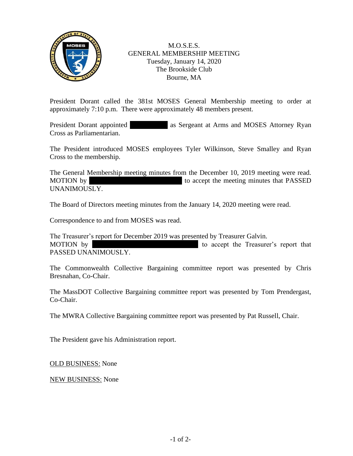

M.O.S.E.S. GENERAL MEMBERSHIP MEETING Tuesday, January 14, 2020 The Brookside Club Bourne, MA

President Dorant called the 381st MOSES General Membership meeting to order at approximately 7:10 p.m. There were approximately 48 members present.

President Dorant appointed as Sergeant at Arms and MOSES Attorney Ryan Cross as Parliamentarian.

The President introduced MOSES employees Tyler Wilkinson, Steve Smalley and Ryan Cross to the membership.

The General Membership meeting minutes from the December 10, 2019 meeting were read. MOTION by Tom Present the meeting minutes that PASSED UNANIMOUSLY.

The Board of Directors meeting minutes from the January 14, 2020 meeting were read.

Correspondence to and from MOSES was read.

The Treasurer's report for December 2019 was presented by Treasurer Galvin. MOTION by  $\blacksquare$  To accept the Treasurer's report that PASSED UNANIMOUSLY.

The Commonwealth Collective Bargaining committee report was presented by Chris Bresnahan, Co-Chair.

The MassDOT Collective Bargaining committee report was presented by Tom Prendergast, Co-Chair.

The MWRA Collective Bargaining committee report was presented by Pat Russell, Chair.

The President gave his Administration report.

OLD BUSINESS: None

NEW BUSINESS: None